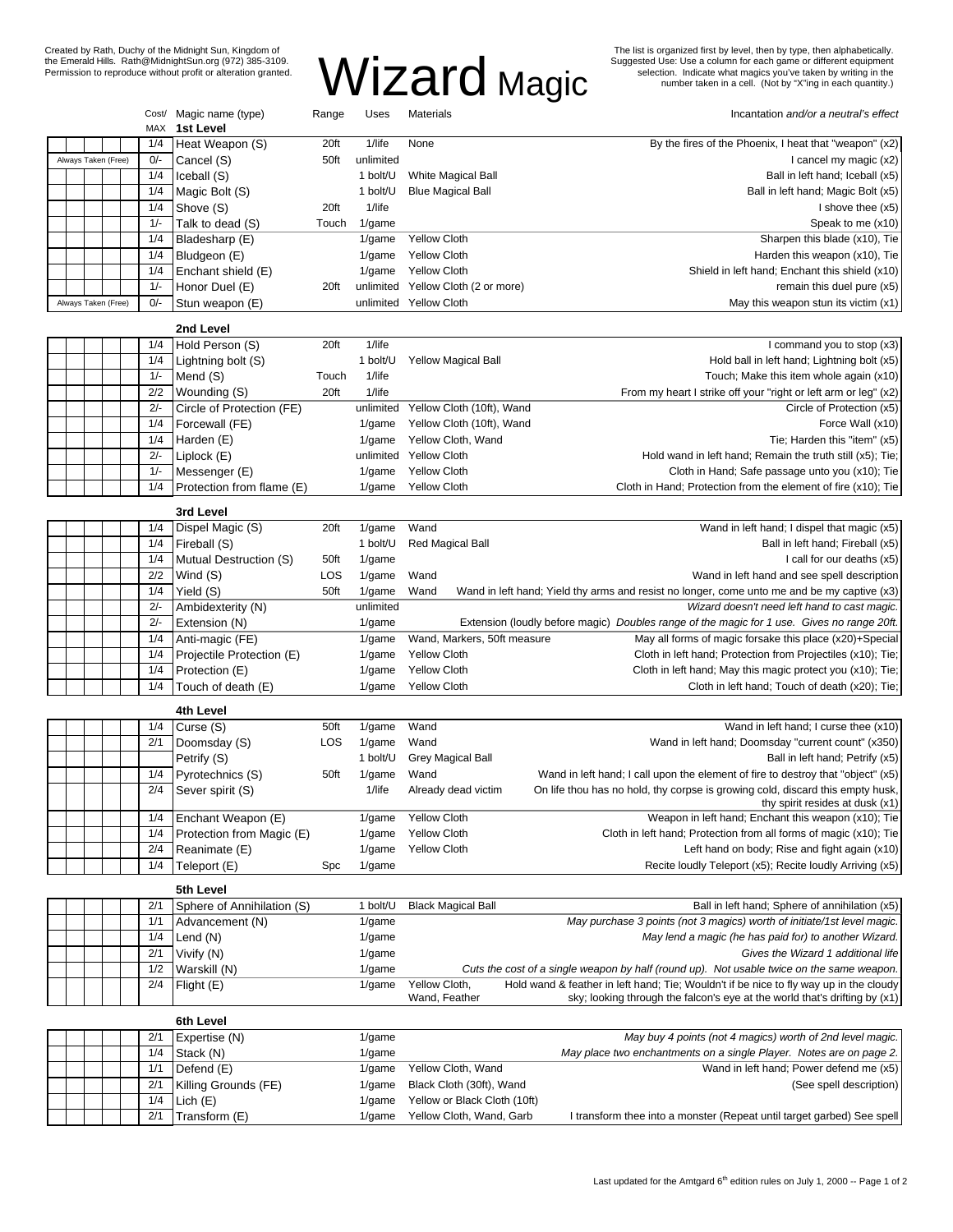The list is organized first by level, then by type, then alphabetically.<br>Suggested Use: Use a column for each game or different equipment<br>selection. Indicate what magics you've taken by writing in the<br>number taken in a cel

# Created by Rath, Duchy of the Midnight Sun, Kingdom of the Emerald Hills. Rath@MidnightSun.org (972) 385-3109. Permission to reproduce without profit or alteration granted.

|           |  |                     |  | MAX   | Cost/ Magic name (type)<br>1st Level | Range | Uses      | Materials                          | Incantation and/or a neutral's effect                                                       |
|-----------|--|---------------------|--|-------|--------------------------------------|-------|-----------|------------------------------------|---------------------------------------------------------------------------------------------|
|           |  |                     |  | 1/4   | Heat Weapon (S)                      | 20ft  | 1/life    | None                               | By the fires of the Phoenix, I heat that "weapon" (x2)                                      |
|           |  | Always Taken (Free) |  | $0/-$ | Cancel (S)                           | 50ft  | unlimited |                                    | I cancel my magic (x2)                                                                      |
|           |  |                     |  | 1/4   | Iceball (S)                          |       | 1 bolt/U  | White Magical Ball                 | Ball in left hand; Iceball (x5)                                                             |
|           |  |                     |  | 1/4   | Magic Bolt (S)                       |       | 1 bolt/U  | <b>Blue Magical Ball</b>           | Ball in left hand; Magic Bolt (x5)                                                          |
|           |  |                     |  | 1/4   |                                      | 20ft  | 1/life    |                                    | I shove thee (x5)                                                                           |
|           |  |                     |  |       | Shove (S)                            |       |           |                                    |                                                                                             |
|           |  |                     |  | $1/-$ | Talk to dead (S)                     | Touch | 1/game    |                                    | Speak to me (x10)                                                                           |
|           |  |                     |  | 1/4   | Bladesharp (E)                       |       | 1/game    | <b>Yellow Cloth</b>                | Sharpen this blade (x10), Tie                                                               |
|           |  |                     |  | 1/4   | Bludgeon (E)                         |       | 1/game    | <b>Yellow Cloth</b>                | Harden this weapon (x10), Tie                                                               |
|           |  |                     |  | 1/4   | Enchant shield (E)                   |       | $1$ /game | <b>Yellow Cloth</b>                | Shield in left hand; Enchant this shield (x10)                                              |
|           |  |                     |  | $1/-$ | Honor Duel (E)                       | 20ft  |           | unlimited Yellow Cloth (2 or more) | remain this duel pure (x5)                                                                  |
|           |  | Always Taken (Free) |  | $0/-$ | Stun weapon (E)                      |       |           | unlimited Yellow Cloth             | May this weapon stun its victim (x1)                                                        |
| 2nd Level |  |                     |  |       |                                      |       |           |                                    |                                                                                             |
|           |  |                     |  | 1/4   | Hold Person (S)                      | 20ft  | 1/life    |                                    | I command you to stop (x3)                                                                  |
|           |  |                     |  | 1/4   | Lightning bolt (S)                   |       | 1 bolt/U  | <b>Yellow Magical Ball</b>         | Hold ball in left hand; Lightning bolt (x5)                                                 |
|           |  |                     |  | $1/-$ | Mend (S)                             | Touch | 1/life    |                                    | Touch; Make this item whole again (x10)                                                     |
|           |  |                     |  | 2/2   |                                      |       |           |                                    |                                                                                             |
|           |  |                     |  |       | Wounding (S)                         | 20ft  | 1/life    |                                    | From my heart I strike off your "right or left arm or leg" (x2)                             |
|           |  |                     |  | $2/-$ | Circle of Protection (FE)            |       | unlimited | Yellow Cloth (10ft), Wand          | Circle of Protection (x5)                                                                   |
|           |  |                     |  | 1/4   | Forcewall (FE)                       |       | 1/game    | Yellow Cloth (10ft), Wand          | Force Wall (x10)                                                                            |
|           |  |                     |  | 1/4   | Harden (E)                           |       | $1$ /game | Yellow Cloth, Wand                 | Tie; Harden this "item" (x5)                                                                |
|           |  |                     |  | $2/-$ | Liplock (E)                          |       | unlimited | <b>Yellow Cloth</b>                | Hold wand in left hand; Remain the truth still (x5); Tie;                                   |
|           |  |                     |  | $1/-$ | Messenger (E)                        |       | 1/game    | <b>Yellow Cloth</b>                | Cloth in Hand; Safe passage unto you (x10); Tie                                             |
|           |  |                     |  | 1/4   | Protection from flame (E)            |       | $1$ /game | <b>Yellow Cloth</b>                | Cloth in Hand; Protection from the element of fire (x10); Tie                               |
|           |  |                     |  |       | 3rd Level                            |       |           |                                    |                                                                                             |
|           |  |                     |  | 1/4   | Dispel Magic (S)                     | 20ft  | 1/game    | Wand                               | Wand in left hand; I dispel that magic (x5)                                                 |
|           |  |                     |  | 1/4   |                                      |       | 1 bolt/U  |                                    | Ball in left hand; Fireball (x5)                                                            |
|           |  |                     |  |       | Fireball (S)                         |       |           | Red Magical Ball                   |                                                                                             |
|           |  |                     |  | 1/4   | Mutual Destruction (S)               | 50ft  | 1/game    |                                    | I call for our deaths (x5)                                                                  |
|           |  |                     |  | 2/2   | Wind (S)                             | LOS   | 1/game    | Wand                               | Wand in left hand and see spell description                                                 |
|           |  |                     |  | 1/4   | Yield (S)                            | 50ft  | $1$ /game | Wand                               | Wand in left hand; Yield thy arms and resist no longer, come unto me and be my captive (x3) |
|           |  |                     |  | $2/-$ | Ambidexterity (N)                    |       | unlimited |                                    | Wizard doesn't need left hand to cast magic.                                                |
|           |  |                     |  | $2/-$ | Extension (N)                        |       | 1/game    |                                    | Extension (loudly before magic) Doubles range of the magic for 1 use. Gives no range 20ft.  |
|           |  |                     |  | 1/4   | Anti-magic (FE)                      |       | 1/game    | Wand, Markers, 50ft measure        | May all forms of magic forsake this place (x20)+Special                                     |
|           |  |                     |  | 1/4   | Projectile Protection (E)            |       | 1/game    | <b>Yellow Cloth</b>                | Cloth in left hand; Protection from Projectiles (x10); Tie;                                 |
|           |  |                     |  | 1/4   | Protection (E)                       |       | 1/game    | <b>Yellow Cloth</b>                | Cloth in left hand; May this magic protect you (x10); Tie;                                  |
|           |  |                     |  | 1/4   | Touch of death (E)                   |       | 1/game    | <b>Yellow Cloth</b>                | Cloth in left hand; Touch of death (x20); Tie;                                              |
|           |  |                     |  |       | 4th Level                            |       |           |                                    |                                                                                             |
|           |  |                     |  | 1/4   | Curse (S)                            | 50ft  | 1/game    | Wand                               | Wand in left hand; I curse thee (x10)                                                       |
|           |  |                     |  | 2/1   |                                      | LOS   |           | Wand                               | Wand in left hand; Doomsday "current count" (x350)                                          |
|           |  |                     |  |       | Doomsday (S)                         |       | 1/game    |                                    |                                                                                             |
|           |  |                     |  |       | Petrify (S)                          |       | 1 bolt/U  | Grey Magical Ball                  | Ball in left hand; Petrify (x5)                                                             |
|           |  |                     |  | 1/4   | Pyrotechnics (S)                     | 50ft  | 1/game    | Wand                               | Wand in left hand; I call upon the element of fire to destroy that "object" (x5)            |
|           |  |                     |  | 2/4   | Sever spirit (S)                     |       | 1/life    | Already dead victim                | On life thou has no hold, thy corpse is growing cold, discard this empty husk,              |
|           |  |                     |  | 1/4   | Enchant Weapon (E)                   |       | $1$ /game | <b>Yellow Cloth</b>                | thy spirit resides at dusk (x1)<br>Weapon in left hand; Enchant this weapon (x10); Tie      |
|           |  |                     |  |       |                                      |       |           |                                    |                                                                                             |
|           |  |                     |  | 1/4   | Protection from Magic (E)            |       | $1$ /game | <b>Yellow Cloth</b>                | Cloth in left hand; Protection from all forms of magic (x10); Tie                           |
|           |  |                     |  | 2/4   | Reanimate (E)                        |       | $1$ /game | <b>Yellow Cloth</b>                | Left hand on body; Rise and fight again (x10)                                               |
|           |  |                     |  | 1/4   | Teleport (E)                         | Spc   | 1/game    |                                    | Recite loudly Teleport (x5); Recite loudly Arriving (x5)                                    |
|           |  |                     |  |       | 5th Level                            |       |           |                                    |                                                                                             |
|           |  |                     |  | 2/1   | Sphere of Annihilation (S)           |       | 1 bolt/U  | <b>Black Magical Ball</b>          | Ball in left hand; Sphere of annihilation (x5)                                              |
|           |  |                     |  | 1/1   | Advancement (N)                      |       | 1/game    |                                    | May purchase 3 points (not 3 magics) worth of initiate/1st level magic.                     |
|           |  |                     |  | 1/4   | Lend (N)                             |       | 1/game    |                                    | May lend a magic (he has paid for) to another Wizard.                                       |
|           |  |                     |  | 2/1   | Vivify (N)                           |       | $1$ /game |                                    | Gives the Wizard 1 additional life                                                          |
|           |  |                     |  | 1/2   | Warskill (N)                         |       | 1/game    |                                    | Cuts the cost of a single weapon by half (round up). Not usable twice on the same weapon.   |
|           |  |                     |  | 2/4   | Flight (E)                           |       | $1$ /game | Yellow Cloth,                      | Hold wand & feather in left hand; Tie; Wouldn't if be nice to fly way up in the cloudy      |
|           |  |                     |  |       |                                      |       |           | Wand, Feather                      | sky; looking through the falcon's eye at the world that's drifting by (x1)                  |
|           |  |                     |  |       |                                      |       |           |                                    |                                                                                             |
|           |  |                     |  |       | 6th Level                            |       |           |                                    |                                                                                             |
|           |  |                     |  | 2/1   | Expertise (N)                        |       | 1/game    |                                    | May buy 4 points (not 4 magics) worth of 2nd level magic.                                   |
|           |  |                     |  | 1/4   | Stack (N)                            |       | 1/game    |                                    | May place two enchantments on a single Player. Notes are on page 2                          |
|           |  |                     |  | 1/1   | Defend (E)                           |       | $1$ /game | Yellow Cloth, Wand                 | Wand in left hand; Power defend me (x5)                                                     |
|           |  |                     |  | 2/1   | Killing Grounds (FE)                 |       | 1/game    | Black Cloth (30ft), Wand           | (See spell description)                                                                     |
|           |  |                     |  | 1/4   | Lich $(E)$                           |       | 1/game    | Yellow or Black Cloth (10ft)       |                                                                                             |
|           |  |                     |  | 2/1   | Transform (E)                        |       | $1$ /game | Yellow Cloth, Wand, Garb           | I transform thee into a monster (Repeat until target garbed) See spell                      |

Wizard Magic